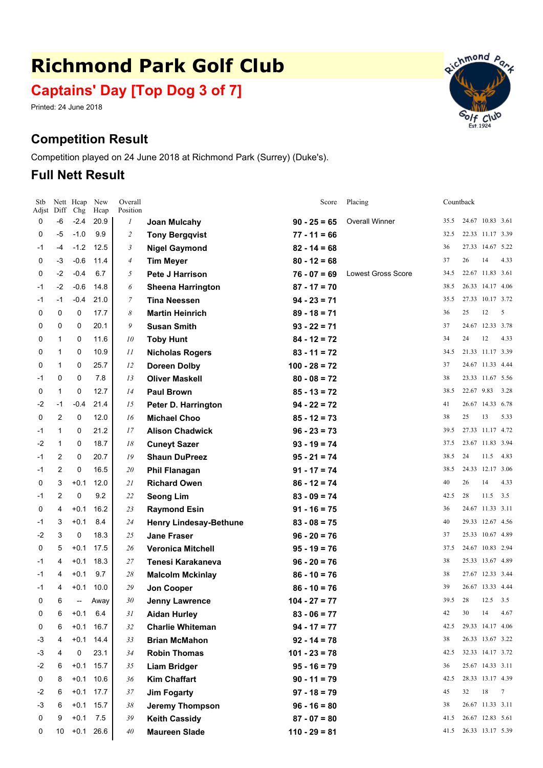# **Richmond Park Golf Club**

**Captains' Day [Top Dog 3 of 7]**

Printed: 24 June 2018

## **Competition Result**

Competition played on 24 June 2018 at Richmond Park (Surrey) (Duke's).

## **Full Nett Result**

| Stb<br>Adjst | Diff           | Nett Heap<br>Chg         | New<br>Hcap | Overall<br>Position |                               | Score           | Placing                   |      | Countback  |                  |                 |
|--------------|----------------|--------------------------|-------------|---------------------|-------------------------------|-----------------|---------------------------|------|------------|------------------|-----------------|
| 0            | -6             | -2.4                     | 20.9        | $\boldsymbol{l}$    | Joan Mulcahy                  | $90 - 25 = 65$  | <b>Overall Winner</b>     | 35.5 |            | 24.67 10.83 3.61 |                 |
| 0            | -5             | $-1.0$                   | 9.9         | $\overline{c}$      | <b>Tony Bergqvist</b>         | $77 - 11 = 66$  |                           | 32.5 |            | 22.33 11.17 3.39 |                 |
| -1           | -4             | $-1.2$                   | 12.5        | 3                   | <b>Nigel Gaymond</b>          | $82 - 14 = 68$  |                           | 36   |            | 27.33 14.67 5.22 |                 |
| 0            | -3             | $-0.6$                   | 11.4        | 4                   | <b>Tim Meyer</b>              | $80 - 12 = 68$  |                           | 37   | 26         | 14               | 4.33            |
| 0            | $-2$           | $-0.4$                   | 6.7         | 5                   | Pete J Harrison               | $76 - 07 = 69$  | <b>Lowest Gross Score</b> | 34.5 |            | 22.67 11.83 3.61 |                 |
| -1           | $-2$           | $-0.6$                   | 14.8        | 6                   | <b>Sheena Harrington</b>      | $87 - 17 = 70$  |                           | 38.5 |            | 26.33 14.17 4.06 |                 |
| -1           | $-1$           | $-0.4$                   | 21.0        | 7                   | <b>Tina Neessen</b>           | $94 - 23 = 71$  |                           | 35.5 |            | 27.33 10.17 3.72 |                 |
| 0            | 0              | 0                        | 17.7        | 8                   | <b>Martin Heinrich</b>        | $89 - 18 = 71$  |                           | 36   | 25         | 12               | 5               |
| 0            | 0              | 0                        | 20.1        | 9                   | <b>Susan Smith</b>            | $93 - 22 = 71$  |                           | 37   |            | 24.67 12.33 3.78 |                 |
| 0            | $\mathbf{1}$   | 0                        | 11.6        | 10                  | <b>Toby Hunt</b>              | $84 - 12 = 72$  |                           | 34   | 24         | 12               | 4.33            |
| 0            | 1              | 0                        | 10.9        | 11                  | <b>Nicholas Rogers</b>        | $83 - 11 = 72$  |                           | 34.5 |            | 21.33 11.17 3.39 |                 |
| 0            | $\mathbf{1}$   | 0                        | 25.7        | 12                  | <b>Doreen Dolby</b>           | $100 - 28 = 72$ |                           | 37   |            | 24.67 11.33 4.44 |                 |
| -1           | 0              | 0                        | 7.8         | 13                  | <b>Oliver Maskell</b>         | $80 - 08 = 72$  |                           | 38   |            | 23.33 11.67 5.56 |                 |
| 0            | $\mathbf{1}$   | 0                        | 12.7        | 14                  | <b>Paul Brown</b>             | $85 - 13 = 72$  |                           | 38.5 | 22.67 9.83 |                  | 3.28            |
| -2           | $-1$           | $-0.4$                   | 21.4        | 15                  | Peter D. Harrington           | $94 - 22 = 72$  |                           | 41   |            | 26.67 14.33 6.78 |                 |
| 0            | $\overline{c}$ | 0                        | 12.0        | 16                  | <b>Michael Choo</b>           | $85 - 12 = 73$  |                           | 38   | 25         | 13               | 5.33            |
| -1           | $\mathbf{1}$   | 0                        | 21.2        | 17                  | <b>Alison Chadwick</b>        | $96 - 23 = 73$  |                           | 39.5 |            | 27.33 11.17 4.72 |                 |
| -2           | $\mathbf{1}$   | 0                        | 18.7        | 18                  | <b>Cuneyt Sazer</b>           | $93 - 19 = 74$  |                           | 37.5 |            | 23.67 11.83 3.94 |                 |
| -1           | $\overline{2}$ | 0                        | 20.7        | 19                  | <b>Shaun DuPreez</b>          | $95 - 21 = 74$  |                           | 38.5 | 24         | 11.5             | 4.83            |
| -1           | $\overline{2}$ | $\mathbf 0$              | 16.5        | 20                  | <b>Phil Flanagan</b>          | $91 - 17 = 74$  |                           | 38.5 |            | 24.33 12.17 3.06 |                 |
| 0            | 3              | $+0.1$                   | 12.0        | 21                  | <b>Richard Owen</b>           | $86 - 12 = 74$  |                           | 40   | 26         | 14               | 4.33            |
| -1           | $\overline{2}$ | 0                        | 9.2         | 22                  | <b>Seong Lim</b>              | $83 - 09 = 74$  |                           | 42.5 | 28         | 11.5             | 3.5             |
| 0            | 4              | $+0.1$                   | 16.2        | 23                  | <b>Raymond Esin</b>           | $91 - 16 = 75$  |                           | 36   |            | 24.67 11.33 3.11 |                 |
| -1           | 3              | $+0.1$                   | 8.4         | 24                  | <b>Henry Lindesay-Bethune</b> | $83 - 08 = 75$  |                           | 40   |            | 29.33 12.67 4.56 |                 |
| -2           | 3              | 0                        | 18.3        | 25                  | <b>Jane Fraser</b>            | $96 - 20 = 76$  |                           | 37   |            | 25.33 10.67 4.89 |                 |
| 0            | 5              | $+0.1$                   | 17.5        | 26                  | <b>Veronica Mitchell</b>      | $95 - 19 = 76$  |                           | 37.5 |            | 24.67 10.83 2.94 |                 |
| -1           | 4              | $+0.1$                   | 18.3        | 27                  | Tenesi Karakaneva             | $96 - 20 = 76$  |                           | 38   |            | 25.33 13.67 4.89 |                 |
| -1           | 4              | $+0.1$                   | 9.7         | 28                  | <b>Malcolm Mckinlay</b>       | $86 - 10 = 76$  |                           | 38   |            | 27.67 12.33 3.44 |                 |
| -1           | 4              | $+0.1$                   | 10.0        | 29                  | Jon Cooper                    | $86 - 10 = 76$  |                           | 39   |            | 26.67 13.33 4.44 |                 |
| 0            | 6              | $\overline{\phantom{a}}$ | Away        | 30                  | <b>Jenny Lawrence</b>         | $104 - 27 = 77$ |                           | 39.5 | 28         | 12.5             | 3.5             |
| 0            | 6              | $+0.1$                   | 6.4         | 31                  | <b>Aidan Hurley</b>           | $83 - 06 = 77$  |                           | 42   | 30         | 14               | 4.67            |
| 0            | 6              | $+0.1$                   | 16.7        | 32                  | <b>Charlie Whiteman</b>       | $94 - 17 = 77$  |                           | 42.5 |            | 29.33 14.17 4.06 |                 |
| -3           | 4              | $+0.1$                   | 14.4        | 33                  | <b>Brian McMahon</b>          | $92 - 14 = 78$  |                           | 38   |            | 26.33 13.67 3.22 |                 |
| -3           | 4              | 0                        | 23.1        | 34                  | <b>Robin Thomas</b>           | $101 - 23 = 78$ |                           | 42.5 |            | 32.33 14.17 3.72 |                 |
| -2           | 6              | $+0.1$                   | 15.7        | 35                  | <b>Liam Bridger</b>           | $95 - 16 = 79$  |                           | 36   |            | 25.67 14.33 3.11 |                 |
| 0            | 8              | $+0.1$                   | 10.6        | 36                  | <b>Kim Chaffart</b>           | $90 - 11 = 79$  |                           | 42.5 |            | 28.33 13.17 4.39 |                 |
| -2           | 6              | $+0.1$                   | 17.7        | 37                  | <b>Jim Fogarty</b>            | $97 - 18 = 79$  |                           | 45   | 32         | 18               | $7\phantom{.0}$ |
| -3           | 6              | $+0.1$                   | 15.7        | 38                  | <b>Jeremy Thompson</b>        | $96 - 16 = 80$  |                           | 38   |            | 26.67 11.33 3.11 |                 |
| 0            | 9              | $+0.1$                   | 7.5         | 39                  | <b>Keith Cassidy</b>          | $87 - 07 = 80$  |                           | 41.5 |            | 26.67 12.83 5.61 |                 |
| 0            | 10             | $+0.1$                   | 26.6        | 40                  | <b>Maureen Slade</b>          | $110 - 29 = 81$ |                           | 41.5 |            | 26.33 13.17 5.39 |                 |

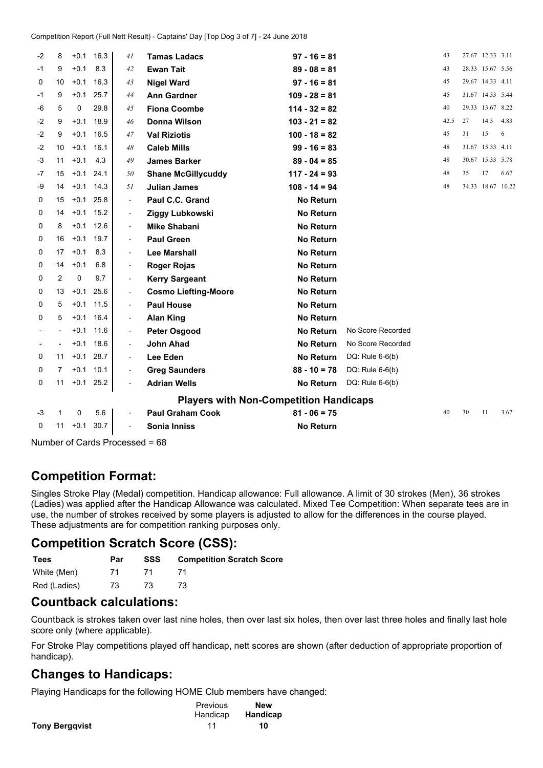| -2   | 8                                             | $+0.1$      | 16.3        | 41                           | <b>Tamas Ladacs</b>         | $97 - 16 = 81$   |                   | 43   |    | 27.67 12.33 3.11  |      |
|------|-----------------------------------------------|-------------|-------------|------------------------------|-----------------------------|------------------|-------------------|------|----|-------------------|------|
| -1   | 9                                             | $+0.1$      | 8.3         | 42                           | <b>Ewan Tait</b>            | $89 - 08 = 81$   |                   | 43   |    | 28.33 15.67 5.56  |      |
| 0    | 10                                            | $+0.1$      | 16.3        | 43                           | <b>Nigel Ward</b>           | $97 - 16 = 81$   |                   | 45   |    | 29.67 14.33 4.11  |      |
| -1   | 9                                             | $+0.1$      | 25.7        | 44                           | <b>Ann Gardner</b>          | $109 - 28 = 81$  |                   | 45   |    | 31.67 14.33 5.44  |      |
| -6   | 5                                             | 0           | 29.8        | 45                           | <b>Fiona Coombe</b>         | $114 - 32 = 82$  |                   | 40   |    | 29.33 13.67 8.22  |      |
| $-2$ | 9                                             | $+0.1$      | 18.9        | 46                           | Donna Wilson                | $103 - 21 = 82$  |                   | 42.5 | 27 | 14.5              | 4.83 |
| $-2$ | 9                                             | $+0.1$      | 16.5        | 47                           | <b>Val Riziotis</b>         | $100 - 18 = 82$  |                   | 45   | 31 | 15                | 6    |
| $-2$ | 10                                            | $+0.1$      | 16.1        | 48                           | <b>Caleb Mills</b>          | $99 - 16 = 83$   |                   | 48   |    | 31.67 15.33 4.11  |      |
| -3   | 11                                            | $+0.1$      | 4.3         | 49                           | <b>James Barker</b>         | $89 - 04 = 85$   |                   | 48   |    | 30.67 15.33 5.78  |      |
| -7   | 15                                            | $+0.1$      | 24.1        | 50                           | <b>Shane McGillycuddy</b>   | $117 - 24 = 93$  |                   | 48   | 35 | 17                | 6.67 |
| -9   | 14                                            | $+0.1$      | 14.3        | 51                           | <b>Julian James</b>         | $108 - 14 = 94$  |                   | 48   |    | 34.33 18.67 10.22 |      |
| 0    | 15                                            |             | $+0.1$ 25.8 | $\overline{a}$               | Paul C.C. Grand             | <b>No Return</b> |                   |      |    |                   |      |
| 0    | 14                                            | $+0.1$      | 15.2        | $\overline{\phantom{a}}$     | Ziggy Lubkowski             | <b>No Return</b> |                   |      |    |                   |      |
| 0    | 8                                             | $+0.1$      | 12.6        | $\overline{\phantom{a}}$     | <b>Mike Shabani</b>         | <b>No Return</b> |                   |      |    |                   |      |
| 0    | 16                                            | $+0.1$      | 19.7        | $\overline{\phantom{a}}$     | <b>Paul Green</b>           | <b>No Return</b> |                   |      |    |                   |      |
| 0    | 17                                            | $+0.1$      | 8.3         | $\overline{a}$               | <b>Lee Marshall</b>         | <b>No Return</b> |                   |      |    |                   |      |
| 0    | 14                                            | $+0.1$      | 6.8         | $\overline{\phantom{a}}$     | <b>Roger Rojas</b>          | <b>No Return</b> |                   |      |    |                   |      |
| 0    | 2                                             | 0           | 9.7         | $\overline{\phantom{a}}$     | <b>Kerry Sargeant</b>       | <b>No Return</b> |                   |      |    |                   |      |
| 0    | 13                                            | $+0.1$      | 25.6        | $\overline{\phantom{a}}$     | <b>Cosmo Liefting-Moore</b> | <b>No Return</b> |                   |      |    |                   |      |
| 0    | 5                                             | $+0.1$      | 11.5        | $\qquad \qquad \blacksquare$ | <b>Paul House</b>           | <b>No Return</b> |                   |      |    |                   |      |
| 0    | 5                                             | $+0.1$      | 16.4        | $\overline{\phantom{a}}$     | <b>Alan King</b>            | <b>No Return</b> |                   |      |    |                   |      |
|      |                                               | $+0.1$      | 11.6        | $\overline{\phantom{a}}$     | <b>Peter Osgood</b>         | <b>No Return</b> | No Score Recorded |      |    |                   |      |
|      |                                               | $+0.1$      | 18.6        | $\qquad \qquad \blacksquare$ | <b>John Ahad</b>            | <b>No Return</b> | No Score Recorded |      |    |                   |      |
| 0    | 11                                            | $+0.1$      | 28.7        | $\overline{\phantom{a}}$     | Lee Eden                    | <b>No Return</b> | DQ: Rule $6-6(b)$ |      |    |                   |      |
| 0    | 7                                             | $+0.1$      | 10.1        | $\overline{\phantom{a}}$     | <b>Greg Saunders</b>        | $88 - 10 = 78$   | DQ: Rule $6-6(b)$ |      |    |                   |      |
| 0    | 11                                            |             | $+0.1$ 25.2 | $\overline{\phantom{a}}$     | <b>Adrian Wells</b>         | <b>No Return</b> | DQ: Rule $6-6(b)$ |      |    |                   |      |
|      | <b>Players with Non-Competition Handicaps</b> |             |             |                              |                             |                  |                   |      |    |                   |      |
| -3   | $\mathbf{1}$                                  | $\mathbf 0$ | 5.6         | $\overline{\phantom{a}}$     | <b>Paul Graham Cook</b>     | $81 - 06 = 75$   |                   | 40   | 30 | 11                | 3.67 |
| 0    | 11                                            | $+0.1$      | 30.7        | $\overline{a}$               | Sonia Inniss                | <b>No Return</b> |                   |      |    |                   |      |
|      |                                               |             |             |                              |                             |                  |                   |      |    |                   |      |

Number of Cards Processed <sup>=</sup> 68

## **Competition Format:**

Singles Stroke Play (Medal) competition. Handicap allowance: Full allowance. A limit of 30 strokes (Men), 36 strokes (Ladies) was applied after the Handicap Allowance was calculated. Mixed Tee Competition: When separate tees are in use, the number of strokes received by some players is adjusted to allow for the differences in the course played. These adjustments are for competition ranking purposes only.

### **Competition Scratch Score (CSS):**

| <b>Tees</b>  | Par | SSS | <b>Competition Scratch Score</b> |
|--------------|-----|-----|----------------------------------|
| White (Men)  | 71  |     |                                  |
| Red (Ladies) | 73. | 73. | 73.                              |

### **Countback calculations:**

Countback is strokes taken over last nine holes, then over last six holes, then over last three holes and finally last hole score only (where applicable).

For Stroke Play competitions played off handicap, nett scores are shown (after deduction of appropriate proportion of handicap).

### **Changes to Handicaps:**

Playing Handicaps for the following HOME Club members have changed:

|                       | Previous | <b>New</b> |
|-----------------------|----------|------------|
|                       | Handicap | Handicap   |
| <b>Tony Bergqvist</b> |          | 10         |